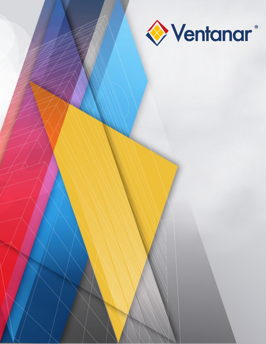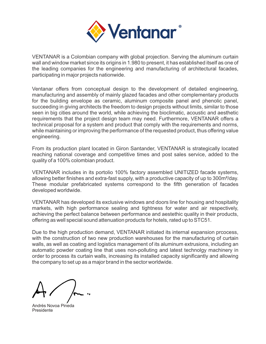

VENTANAR is a Colombian company with global projection. Serving the aluminum curtain wall and window market since its origins in 1.980 to present, it has established itself as one of the leading companies for the engineering and manufacturing of architectural facades, participating in major projects nationwide.

Ventanar offers from conceptual design to the development of detailed engineering, manufacturing and assembly of mainly glazed facades and other complementary products for the building envelope as ceramic, aluminum composite panel and phenolic panel, succeeding in giving architects the freedom to design projects without limits, similar to those seen in big cities around the world, while achieving the bioclimatic, acoustic and aesthetic requirements that the project design team may need. Furthermore, VENTANAR offers a technical proposal for a system and product that comply with the requirements and norms, while maintaining or improving the performance of the requested product, thus offering value engineering.

From its production plant located in Giron Santander, VENTANAR is strategically located reaching national coverage and competitive times and post sales service, added to the quality of a 100% colombian product.

VENTANAR includes in its portolio 100% factory assembled UNITIZED facade systems, allowing better finishes and extra-fast supply, with a productive capacity of up to 300m²/day. These modular prefabricated systems correspond to the fifth generation of facades developed worldwide.

VENTANAR has developed its exclusive windows and doors line for housing and hospitality markets, with high performance sealing and tightness for water and air respectively, achieving the perfect balance between performance and aestethic quality in their products, offering as well special sound attenuation products for hotels, rated up to STC51.

Due to the high production demand, VENTANAR initiated its internal expansion prcocess, with the construction of two new production warehouses for the manufacturing of curtain walls, as well as coating and logistics management of its aluminum extrusions, including an automatic powder coating line that uses non-polluting and latest technolgy machinery in order to process its curtain walls, increasing its installed capacity significantly and allowing the company to set up as a major brand in the sector worldwide.

Andrés Novoa Pineda Presidente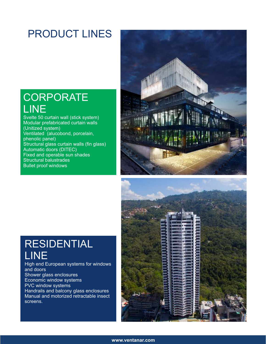## PRODUCT LINES

## **CORPORATE** LINE

Svelte 50 curtain wall (stick system) Modular prefabricated curtain walls (Unitized system) Ventilated (alucobond, porcelain, phenolic panel) Structural glass curtain walls (fin glass) Automatic doors (DITEC) Fixed and operable sun shades Structural balustrades Bullet proof windows





## RESIDENTIAL LINE

High end European systems for windows and doors Shower glass enclosures Economic window systems PVC window systems Handrails and balcony glass enclosures Manual and motorized retractable insect screens.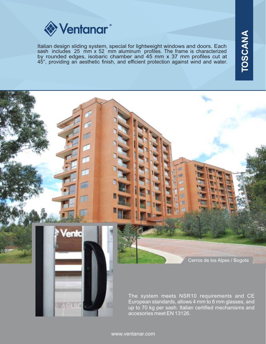

Italian design sliding system, special for lightweight windows and doors. Each sash includes 25 mm x 52 mm aluminum profiles. The frame is characterized by rounded edges, isobaric chamber and 45 mm x 37 mm profiles cut at 45°, providing an aesthetic finish, and efficient protection against wind and water.